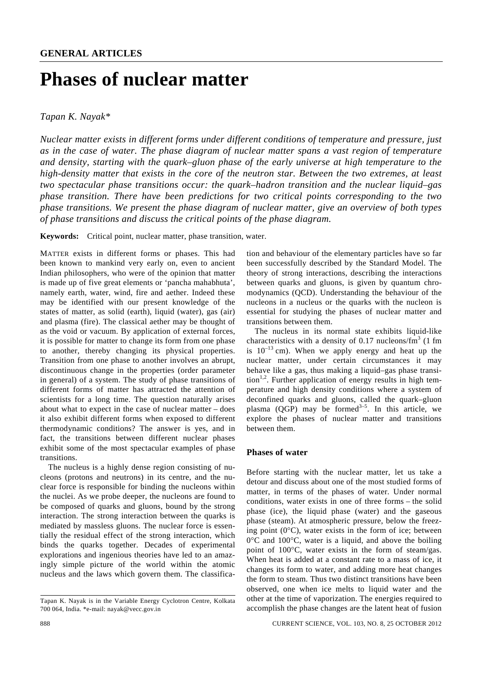# **Phases of nuclear matter**

*Tapan K. Nayak\** 

*Nuclear matter exists in different forms under different conditions of temperature and pressure, just as in the case of water. The phase diagram of nuclear matter spans a vast region of temperature and density, starting with the quark–gluon phase of the early universe at high temperature to the high-density matter that exists in the core of the neutron star. Between the two extremes, at least two spectacular phase transitions occur: the quark–hadron transition and the nuclear liquid–gas phase transition. There have been predictions for two critical points corresponding to the two phase transitions. We present the phase diagram of nuclear matter, give an overview of both types of phase transitions and discuss the critical points of the phase diagram.* 

**Keywords:** Critical point, nuclear matter, phase transition, water.

MATTER exists in different forms or phases. This had been known to mankind very early on, even to ancient Indian philosophers, who were of the opinion that matter is made up of five great elements or 'pancha mahabhuta', namely earth, water, wind, fire and aether. Indeed these may be identified with our present knowledge of the states of matter, as solid (earth), liquid (water), gas (air) and plasma (fire). The classical aether may be thought of as the void or vacuum. By application of external forces, it is possible for matter to change its form from one phase to another, thereby changing its physical properties. Transition from one phase to another involves an abrupt, discontinuous change in the properties (order parameter in general) of a system. The study of phase transitions of different forms of matter has attracted the attention of scientists for a long time. The question naturally arises about what to expect in the case of nuclear matter – does it also exhibit different forms when exposed to different thermodynamic conditions? The answer is yes, and in fact, the transitions between different nuclear phases exhibit some of the most spectacular examples of phase transitions.

 The nucleus is a highly dense region consisting of nucleons (protons and neutrons) in its centre, and the nuclear force is responsible for binding the nucleons within the nuclei. As we probe deeper, the nucleons are found to be composed of quarks and gluons, bound by the strong interaction. The strong interaction between the quarks is mediated by massless gluons. The nuclear force is essentially the residual effect of the strong interaction, which binds the quarks together. Decades of experimental explorations and ingenious theories have led to an amazingly simple picture of the world within the atomic nucleus and the laws which govern them. The classification and behaviour of the elementary particles have so far been successfully described by the Standard Model. The theory of strong interactions, describing the interactions between quarks and gluons, is given by quantum chromodynamics (QCD). Understanding the behaviour of the nucleons in a nucleus or the quarks with the nucleon is essential for studying the phases of nuclear matter and transitions between them.

 The nucleus in its normal state exhibits liquid-like characteristics with a density of 0.17 nucleons/ $\text{fm}^3$  (1 fm is  $10^{-13}$  cm). When we apply energy and heat up the nuclear matter, under certain circumstances it may behave like a gas, thus making a liquid–gas phase transition<sup>1,2</sup>. Further application of energy results in high temperature and high density conditions where a system of deconfined quarks and gluons, called the quark–gluon plasma (QGP) may be formed<sup>3-5</sup>. In this article, we explore the phases of nuclear matter and transitions between them.

## **Phases of water**

Before starting with the nuclear matter, let us take a detour and discuss about one of the most studied forms of matter, in terms of the phases of water. Under normal conditions, water exists in one of three forms – the solid phase (ice), the liquid phase (water) and the gaseous phase (steam). At atmospheric pressure, below the freezing point  $(0^{\circ}C)$ , water exists in the form of ice; between 0°C and 100°C, water is a liquid, and above the boiling point of 100°C, water exists in the form of steam/gas. When heat is added at a constant rate to a mass of ice, it changes its form to water, and adding more heat changes the form to steam. Thus two distinct transitions have been observed, one when ice melts to liquid water and the other at the time of vaporization. The energies required to accomplish the phase changes are the latent heat of fusion

Tapan K. Nayak is in the Variable Energy Cyclotron Centre, Kolkata 700 064, India. \*e-mail: nayak@vecc.gov.in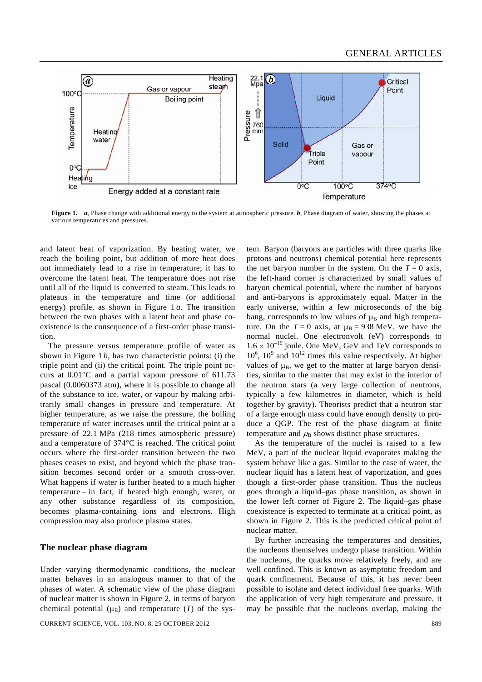

**Figure 1.** *a*, Phase change with additional energy to the system at atmospheric pressure. *b*, Phase diagram of water, showing the phases at various temperatures and pressures.

and latent heat of vaporization. By heating water, we reach the boiling point, but addition of more heat does not immediately lead to a rise in temperature; it has to overcome the latent heat. The temperature does not rise until all of the liquid is converted to steam. This leads to plateaus in the temperature and time (or additional energy) profile, as shown in Figure 1 *a*. The transition between the two phases with a latent heat and phase coexistence is the consequence of a first-order phase transition.

 The pressure versus temperature profile of water as shown in Figure 1 *b*, has two characteristic points: (i) the triple point and (ii) the critical point. The triple point occurs at 0.01°C and a partial vapour pressure of 611.73 pascal (0.0060373 atm), where it is possible to change all of the substance to ice, water, or vapour by making arbitrarily small changes in pressure and temperature. At higher temperature, as we raise the pressure, the boiling temperature of water increases until the critical point at a pressure of 22.1 MPa (218 times atmospheric pressure) and a temperature of 374°C is reached. The critical point occurs where the first-order transition between the two phases ceases to exist, and beyond which the phase transition becomes second order or a smooth cross-over. What happens if water is further heated to a much higher temperature – in fact, if heated high enough, water, or any other substance regardless of its composition, becomes plasma-containing ions and electrons. High compression may also produce plasma states.

### **The nuclear phase diagram**

Under varying thermodynamic conditions, the nuclear matter behaves in an analogous manner to that of the phases of water. A schematic view of the phase diagram of nuclear matter is shown in Figure 2, in terms of baryon chemical potential  $(\mu_B)$  and temperature (*T*) of the sys-

tem. Baryon (baryons are particles with three quarks like protons and neutrons) chemical potential here represents the net baryon number in the system. On the  $T = 0$  axis, the left-hand corner is characterized by small values of baryon chemical potential, where the number of baryons and anti-baryons is approximately equal. Matter in the early universe, within a few microseconds of the big bang, corresponds to low values of  $\mu_B$  and high temperature. On the  $T = 0$  axis, at  $\mu_B = 938$  MeV, we have the normal nuclei. One electronvolt (eV) corresponds to  $1.6 \times 10^{-19}$  joule. One MeV, GeV and TeV corresponds to  $10^6$ ,  $10^9$  and  $10^{12}$  times this value respectively. At higher values of  $\mu_B$ , we get to the matter at large baryon densities, similar to the matter that may exist in the interior of the neutron stars (a very large collection of neutrons, typically a few kilometres in diameter, which is held together by gravity). Theorists predict that a neutron star of a large enough mass could have enough density to produce a QGP. The rest of the phase diagram at finite temperature and  $\mu_B$  shows distinct phase structures.

 As the temperature of the nuclei is raised to a few MeV, a part of the nuclear liquid evaporates making the system behave like a gas. Similar to the case of water, the nuclear liquid has a latent heat of vaporization, and goes though a first-order phase transition. Thus the nucleus goes through a liquid–gas phase transition, as shown in the lower left corner of Figure 2. The liquid–gas phase coexistence is expected to terminate at a critical point, as shown in Figure 2. This is the predicted critical point of nuclear matter.

 By further increasing the temperatures and densities, the nucleons themselves undergo phase transition. Within the nucleons, the quarks move relatively freely, and are well confined. This is known as asymptotic freedom and quark confinement. Because of this, it has never been possible to isolate and detect individual free quarks. With the application of very high temperature and pressure, it may be possible that the nucleons overlap, making the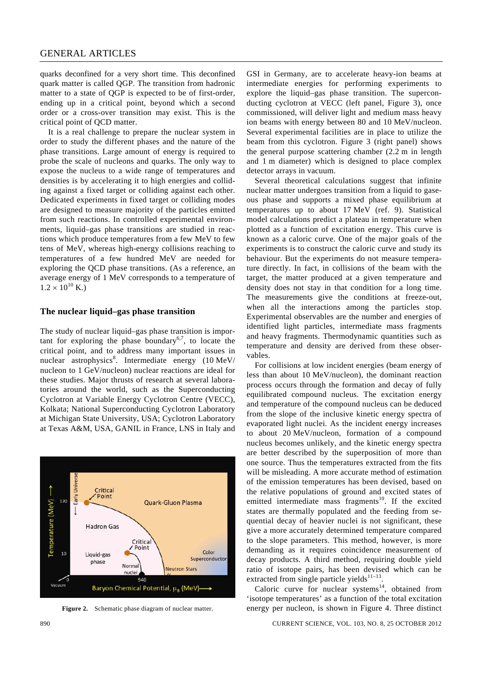quarks deconfined for a very short time. This deconfined quark matter is called QGP. The transition from hadronic matter to a state of QGP is expected to be of first-order, ending up in a critical point, beyond which a second order or a cross-over transition may exist. This is the critical point of QCD matter.

 It is a real challenge to prepare the nuclear system in order to study the different phases and the nature of the phase transitions. Large amount of energy is required to probe the scale of nucleons and quarks. The only way to expose the nucleus to a wide range of temperatures and densities is by accelerating it to high energies and colliding against a fixed target or colliding against each other. Dedicated experiments in fixed target or colliding modes are designed to measure majority of the particles emitted from such reactions. In controlled experimental environments, liquid–gas phase transitions are studied in reactions which produce temperatures from a few MeV to few tens of MeV, whereas high-energy collisions reaching to temperatures of a few hundred MeV are needed for exploring the QCD phase transitions. (As a reference, an average energy of 1 MeV corresponds to a temperature of  $1.2 \times 10^{10}$  K.)

#### **The nuclear liquid–gas phase transition**

The study of nuclear liquid–gas phase transition is important for exploring the phase boundary<sup>6,7</sup>, to locate the critical point, and to address many important issues in nuclear astrophysics<sup>8</sup>. Intermediate energy  $(10 \text{ MeV}/$ nucleon to 1 GeV/nucleon) nuclear reactions are ideal for these studies. Major thrusts of research at several laboratories around the world, such as the Superconducting Cyclotron at Variable Energy Cyclotron Centre (VECC), Kolkata; National Superconducting Cyclotron Laboratory at Michigan State University, USA; Cyclotron Laboratory at Texas A&M, USA, GANIL in France, LNS in Italy and



**Figure 2.** Schematic phase diagram of nuclear matter.

GSI in Germany, are to accelerate heavy-ion beams at intermediate energies for performing experiments to explore the liquid–gas phase transition. The superconducting cyclotron at VECC (left panel, Figure 3), once commissioned, will deliver light and medium mass heavy ion beams with energy between 80 and 10 MeV/nucleon. Several experimental facilities are in place to utilize the beam from this cyclotron. Figure 3 (right panel) shows the general purpose scattering chamber (2.2 m in length and 1 m diameter) which is designed to place complex detector arrays in vacuum.

 Several theoretical calculations suggest that infinite nuclear matter undergoes transition from a liquid to gaseous phase and supports a mixed phase equilibrium at temperatures up to about 17 MeV (ref. 9). Statistical model calculations predict a plateau in temperature when plotted as a function of excitation energy. This curve is known as a caloric curve. One of the major goals of the experiments is to construct the caloric curve and study its behaviour. But the experiments do not measure temperature directly. In fact, in collisions of the beam with the target, the matter produced at a given temperature and density does not stay in that condition for a long time. The measurements give the conditions at freeze-out, when all the interactions among the particles stop. Experimental observables are the number and energies of identified light particles, intermediate mass fragments and heavy fragments. Thermodynamic quantities such as temperature and density are derived from these observables.

 For collisions at low incident energies (beam energy of less than about 10 MeV/nucleon), the dominant reaction process occurs through the formation and decay of fully equilibrated compound nucleus. The excitation energy and temperature of the compound nucleus can be deduced from the slope of the inclusive kinetic energy spectra of evaporated light nuclei. As the incident energy increases to about 20 MeV/nucleon, formation of a compound nucleus becomes unlikely, and the kinetic energy spectra are better described by the superposition of more than one source. Thus the temperatures extracted from the fits will be misleading. A more accurate method of estimation of the emission temperatures has been devised, based on the relative populations of ground and excited states of emitted intermediate mass fragments<sup>10</sup>. If the excited states are thermally populated and the feeding from sequential decay of heavier nuclei is not significant, these give a more accurately determined temperature compared to the slope parameters. This method, however, is more demanding as it requires coincidence measurement of decay products. A third method, requiring double yield ratio of isotope pairs, has been devised which can be extracted from single particle yields<sup>11-13</sup>.

Caloric curve for nuclear systems $14$ , obtained from 'isotope temperatures' as a function of the total excitation energy per nucleon, is shown in Figure 4. Three distinct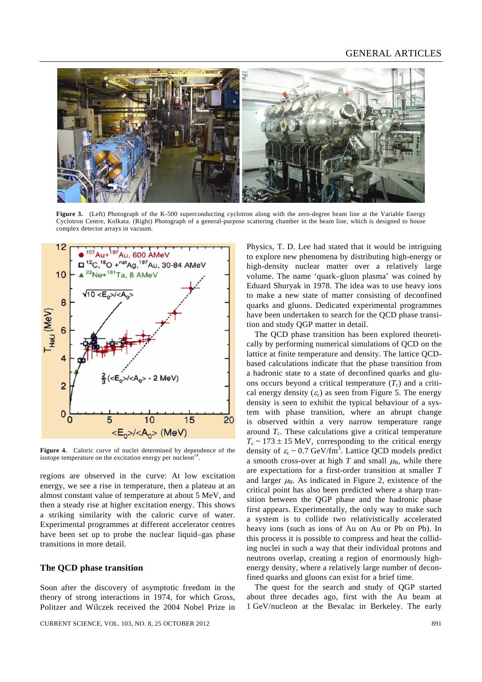## GENERAL ARTICLES



**Figure 3.** (Left) Photograph of the K-500 superconducting cyclotron along with the zero-degree beam line at the Variable Energy Cyclotron Centre, Kolkata. (Right) Photograph of a general-purpose scattering chamber in the beam line, which is designed to house complex detector arrays in vacuum.



**Figure 4.** Caloric curve of nuclei determined by dependence of the isotope temperature on the excitation energy per nucleon $<sup>1</sup>$ </sup>

regions are observed in the curve: At low excitation energy, we see a rise in temperature, then a plateau at an almost constant value of temperature at about 5 MeV, and then a steady rise at higher excitation energy. This shows a striking similarity with the caloric curve of water. Experimental programmes at different accelerator centres have been set up to probe the nuclear liquid–gas phase transitions in more detail.

## **The QCD phase transition**

Soon after the discovery of asymptotic freedom in the theory of strong interactions in 1974, for which Gross, Politzer and Wilczek received the 2004 Nobel Prize in

CURRENT SCIENCE, VOL. 103, NO. 8, 25 OCTOBER 2012 891

Physics, T. D. Lee had stated that it would be intriguing to explore new phenomena by distributing high-energy or high-density nuclear matter over a relatively large volume. The name 'quark–gluon plasma' was coined by Eduard Shuryak in 1978. The idea was to use heavy ions to make a new state of matter consisting of deconfined quarks and gluons. Dedicated experimental programmes have been undertaken to search for the QCD phase transition and study QGP matter in detail.

 The QCD phase transition has been explored theoretically by performing numerical simulations of QCD on the lattice at finite temperature and density. The lattice QCDbased calculations indicate that the phase transition from a hadronic state to a state of deconfined quarks and gluons occurs beyond a critical temperature  $(T_c)$  and a critical energy density  $(\varepsilon_c)$  as seen from Figure 5. The energy density is seen to exhibit the typical behaviour of a system with phase transition, where an abrupt change is observed within a very narrow temperature range around  $T_c$ . These calculations give a critical temperature  $T_c \sim 173 \pm 15$  MeV, corresponding to the critical energy density of  $\varepsilon_c \sim 0.7$  GeV/fm<sup>3</sup>. Lattice QCD models predict a smooth cross-over at high *T* and small  $\mu_B$ , while there are expectations for a first-order transition at smaller *T* and larger  $\mu_{\text{B}}$ . As indicated in Figure 2, existence of the critical point has also been predicted where a sharp transition between the QGP phase and the hadronic phase first appears. Experimentally, the only way to make such a system is to collide two relativistically accelerated heavy ions (such as ions of Au on Au or Pb on Pb). In this process it is possible to compress and heat the colliding nuclei in such a way that their individual protons and neutrons overlap, creating a region of enormously highenergy density, where a relatively large number of deconfined quarks and gluons can exist for a brief time.

 The quest for the search and study of QGP started about three decades ago, first with the Au beam at 1 GeV/nucleon at the Bevalac in Berkeley. The early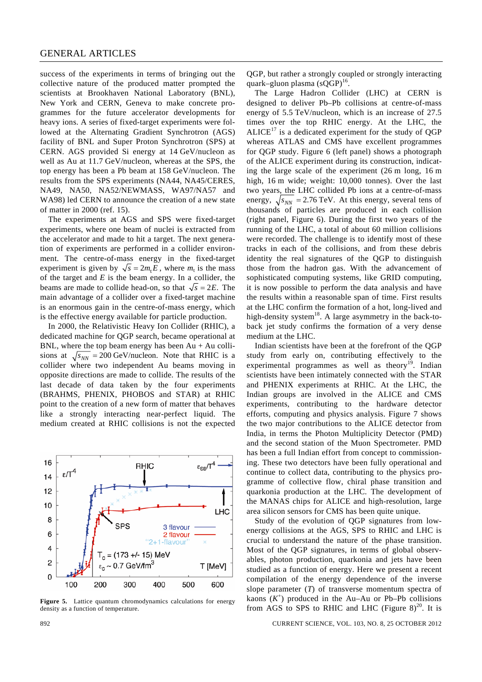success of the experiments in terms of bringing out the collective nature of the produced matter prompted the scientists at Brookhaven National Laboratory (BNL), New York and CERN, Geneva to make concrete programmes for the future accelerator developments for heavy ions. A series of fixed-target experiments were followed at the Alternating Gradient Synchrotron (AGS) facility of BNL and Super Proton Synchrotron (SPS) at CERN. AGS provided Si energy at 14 GeV/nucleon as well as Au at 11.7 GeV/nucleon, whereas at the SPS, the top energy has been a Pb beam at 158 GeV/nucleon. The results from the SPS experiments (NA44, NA45/CERES, NA49, NA50, NA52/NEWMASS, WA97/NA57 and WA98) led CERN to announce the creation of a new state of matter in 2000 (ref. 15).

 The experiments at AGS and SPS were fixed-target experiments, where one beam of nuclei is extracted from the accelerator and made to hit a target. The next generation of experiments are performed in a collider environment. The centre-of-mass energy in the fixed-target experiment is given by  $\sqrt{s} = 2m_e E$ , where  $m_t$  is the mass of the target and *E* is the beam energy. In a collider, the beams are made to collide head-on, so that  $\sqrt{s} = 2E$ . The main advantage of a collider over a fixed-target machine is an enormous gain in the centre-of-mass energy, which is the effective energy available for particle production.

 In 2000, the Relativistic Heavy Ion Collider (RHIC), a dedicated machine for QGP search, became operational at BNL, where the top beam energy has been  $Au + Au$  collisions at  $\sqrt{s_{NN}} = 200 \text{ GeV/nucleon}$ . Note that RHIC is a collider where two independent Au beams moving in opposite directions are made to collide. The results of the last decade of data taken by the four experiments (BRAHMS, PHENIX, PHOBOS and STAR) at RHIC point to the creation of a new form of matter that behaves like a strongly interacting near-perfect liquid. The medium created at RHIC collisions is not the expected



**Figure 5.** Lattice quantum chromodynamics calculations for energy density as a function of temperature.

QGP, but rather a strongly coupled or strongly interacting quark–gluon plasma  $(sQGP)^{16}$ .

 The Large Hadron Collider (LHC) at CERN is designed to deliver Pb–Pb collisions at centre-of-mass energy of 5.5 TeV/nucleon, which is an increase of 27.5 times over the top RHIC energy. At the LHC, the  $ALICE<sup>17</sup>$  is a dedicated experiment for the study of OGP whereas ATLAS and CMS have excellent programmes for QGP study. Figure 6 (left panel) shows a photograph of the ALICE experiment during its construction, indicating the large scale of the experiment (26 m long, 16 m high, 16 m wide; weight: 10,000 tonnes). Over the last two years, the LHC collided Pb ions at a centre-of-mass energy,  $\sqrt{s_{NN}}$  = 2.76 TeV. At this energy, several tens of thousands of particles are produced in each collision (right panel, Figure 6). During the first two years of the running of the LHC, a total of about 60 million collisions were recorded. The challenge is to identify most of these tracks in each of the collisions, and from these debris identity the real signatures of the QGP to distinguish those from the hadron gas. With the advancement of sophisticated computing systems, like GRID computing, it is now possible to perform the data analysis and have the results within a reasonable span of time. First results at the LHC confirm the formation of a hot, long-lived and high-density system<sup>18</sup>. A large asymmetry in the back-toback jet study confirms the formation of a very dense medium at the LHC.

 Indian scientists have been at the forefront of the QGP study from early on, contributing effectively to the experimental programmes as well as theory<sup>19</sup>. Indian scientists have been intimately connected with the STAR and PHENIX experiments at RHIC. At the LHC, the Indian groups are involved in the ALICE and CMS experiments, contributing to the hardware detector efforts, computing and physics analysis. Figure 7 shows the two major contributions to the ALICE detector from India, in terms the Photon Multiplicity Detector (PMD) and the second station of the Muon Spectrometer. PMD has been a full Indian effort from concept to commissioning. These two detectors have been fully operational and continue to collect data, contributing to the physics programme of collective flow, chiral phase transition and quarkonia production at the LHC. The development of the MANAS chips for ALICE and high-resolution, large area silicon sensors for CMS has been quite unique.

 Study of the evolution of QGP signatures from lowenergy collisions at the AGS, SPS to RHIC and LHC is crucial to understand the nature of the phase transition. Most of the QGP signatures, in terms of global observables, photon production, quarkonia and jets have been studied as a function of energy. Here we present a recent compilation of the energy dependence of the inverse slope parameter (*T*) of transverse momentum spectra of kaons  $(K^+)$  produced in the Au–Au or Pb–Pb collisions from AGS to SPS to RHIC and LHC (Figure  $8)^{20}$ . It is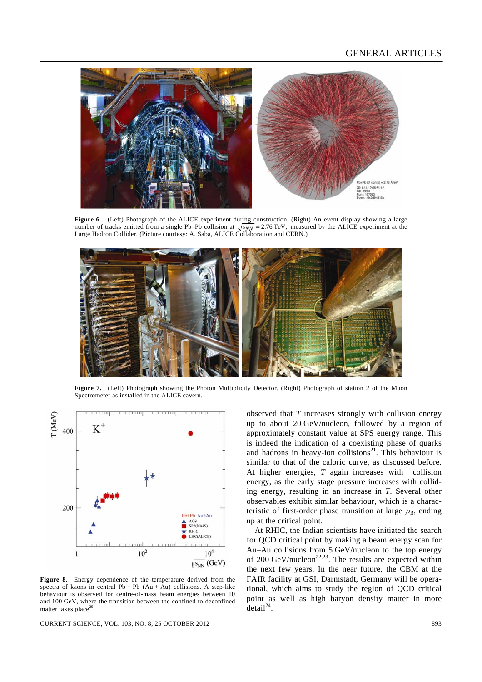

Figure 6. (Left) Photograph of the ALICE experiment during construction. (Right) An event display showing a large number of tracks emitted from a single Pb–Pb collision at  $\sqrt{s_{NN}} = 2.76 \text{ TeV}$ , measured by the ALICE experiment at the Large Hadron Collider. (Picture courtesy: A. Saba, ALICE Collaboration and CERN.)



**Figure 7.** (Left) Photograph showing the Photon Multiplicity Detector. (Right) Photograph of station 2 of the Muon Spectrometer as installed in the ALICE cavern.



**Figure 8.** Energy dependence of the temperature derived from the spectra of kaons in central  $Pb + Pb$  (Au + Au) collisions. A step-like behaviour is observed for centre-of-mass beam energies between 10 and 100 GeV, where the transition between the confined to deconfined matter takes place $^{20}$ 

CURRENT SCIENCE, VOL. 103, NO. 8, 25 OCTOBER 2012 893

observed that *T* increases strongly with collision energy up to about 20 GeV/nucleon, followed by a region of approximately constant value at SPS energy range. This is indeed the indication of a coexisting phase of quarks and hadrons in heavy-ion collisions<sup>21</sup>. This behaviour is similar to that of the caloric curve, as discussed before. At higher energies, *T* again increases with collision energy, as the early stage pressure increases with colliding energy, resulting in an increase in *T*. Several other observables exhibit similar behaviour, which is a characteristic of first-order phase transition at large  $\mu_{\rm B}$ , ending up at the critical point.

 At RHIC, the Indian scientists have initiated the search for QCD critical point by making a beam energy scan for Au–Au collisions from 5 GeV/nucleon to the top energy of 200 GeV/nucleon<sup>22,23</sup>. The results are expected within the next few years. In the near future, the CBM at the FAIR facility at GSI, Darmstadt, Germany will be operational, which aims to study the region of QCD critical point as well as high baryon density matter in more  $detail^{24}$ .